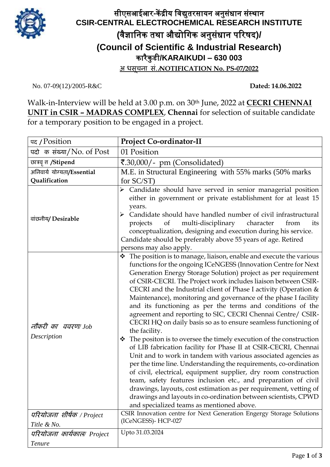

## सीएसआईआर**-**कें द्रीय विद्युतरसायन अनुसंधान संस्थान **CSIR-CENTRAL ELECTROCHEMICAL RESEARCH INSTITUTE (**िैज्ञावनक तथा औद्योविक अनुसंधान पररषद**)/ (Council of Scientific & Industrial Research)** कारैकु डी**/KARAIKUDI – 630 003 अ िसूचना सं./NOTIFICATION No. PS-07/2022**

No. 07-09(12)/2005-R&C **Dated: 14.06.2022**

Walk-in-Interview will be held at 3.00 p.m. on 30th June, 2022 at **CECRI CHENNAI UNIT in CSIR – MADRAS COMPLEX**, **Chennai** for selection of suitable candidate for a temporary position to be engaged in a project.

| पद / Position                            | <b>Project Co-ordinator-II</b>                                                                                                                                                                                                                                                                                                                                                                                                                                                                                                                                                                                                                                                                                                                                                                                                                                                                                                                                                                                                                                                                                                                                                                                                                  |
|------------------------------------------|-------------------------------------------------------------------------------------------------------------------------------------------------------------------------------------------------------------------------------------------------------------------------------------------------------------------------------------------------------------------------------------------------------------------------------------------------------------------------------------------------------------------------------------------------------------------------------------------------------------------------------------------------------------------------------------------------------------------------------------------------------------------------------------------------------------------------------------------------------------------------------------------------------------------------------------------------------------------------------------------------------------------------------------------------------------------------------------------------------------------------------------------------------------------------------------------------------------------------------------------------|
| पदो क संख्या/No. of Post                 | 01 Position                                                                                                                                                                                                                                                                                                                                                                                                                                                                                                                                                                                                                                                                                                                                                                                                                                                                                                                                                                                                                                                                                                                                                                                                                                     |
| छात्रवृत्त /Stipend                      | ₹.30,000/- pm (Consolidated)                                                                                                                                                                                                                                                                                                                                                                                                                                                                                                                                                                                                                                                                                                                                                                                                                                                                                                                                                                                                                                                                                                                                                                                                                    |
| अनिवार्य योग्यता/Essential               | M.E. in Structural Engineering with 55% marks (50% marks)                                                                                                                                                                                                                                                                                                                                                                                                                                                                                                                                                                                                                                                                                                                                                                                                                                                                                                                                                                                                                                                                                                                                                                                       |
| Qualification                            | for $SC/ST$ )                                                                                                                                                                                                                                                                                                                                                                                                                                                                                                                                                                                                                                                                                                                                                                                                                                                                                                                                                                                                                                                                                                                                                                                                                                   |
| वांछनीय/ Desirable                       | $\triangleright$ Candidate should have served in senior managerial position<br>either in government or private establishment for at least 15<br>years.<br>Candidate should have handled number of civil infrastructural<br>$\blacktriangleright$<br>of<br>multi-disciplinary<br>character<br>projects<br>from<br>its<br>conceptualization, designing and execution during his service.<br>Candidate should be preferably above 55 years of age. Retired<br>persons may also apply.                                                                                                                                                                                                                                                                                                                                                                                                                                                                                                                                                                                                                                                                                                                                                              |
| नौकरी का ववरण/Job<br>Description         | ❖ The position is to manage, liaison, enable and execute the various<br>functions for the ongoing ICeNGESS (Innovation Centre for Next<br>Generation Energy Storage Solution) project as per requirement<br>of CSIR-CECRI. The Project work includes liaison between CSIR-<br>CECRI and the Industrial client of Phase I activity (Operation &<br>Maintenance), monitoring and governance of the phase I facility<br>and its functioning as per the terms and conditions of the<br>agreement and reporting to SIC, CECRI Chennai Centre/ CSIR-<br>CECRI HQ on daily basis so as to ensure seamless functioning of<br>the facility.<br>The positon is to oversee the timely execution of the construction<br>❖<br>of LIB fabrication facility for Phase II at CSIR-CECRI, Chennai<br>Unit and to work in tandem with various associated agencies as<br>per the time line. Understanding the requirements, co-ordination<br>of civil, electrical, equipment supplier, dry room construction<br>team, safety features inclusion etc., and preparation of civil<br>drawings, layouts, cost estimation as per requirement, vetting of<br>drawings and layouts in co-ordination between scientists, CPWD<br>and specialized teams as mentioned above. |
| परियोजना शीर्षक / Project<br>Title & No. | CSIR Innovation centre for Next Generation Engergy Storage Solutions<br>(ICeNGESS)-HCP-027                                                                                                                                                                                                                                                                                                                                                                                                                                                                                                                                                                                                                                                                                                                                                                                                                                                                                                                                                                                                                                                                                                                                                      |
| परियोजना कार्यकाल⁄ Project               | Upto 31.03.2024                                                                                                                                                                                                                                                                                                                                                                                                                                                                                                                                                                                                                                                                                                                                                                                                                                                                                                                                                                                                                                                                                                                                                                                                                                 |
|                                          |                                                                                                                                                                                                                                                                                                                                                                                                                                                                                                                                                                                                                                                                                                                                                                                                                                                                                                                                                                                                                                                                                                                                                                                                                                                 |
| <b>Tenure</b>                            |                                                                                                                                                                                                                                                                                                                                                                                                                                                                                                                                                                                                                                                                                                                                                                                                                                                                                                                                                                                                                                                                                                                                                                                                                                                 |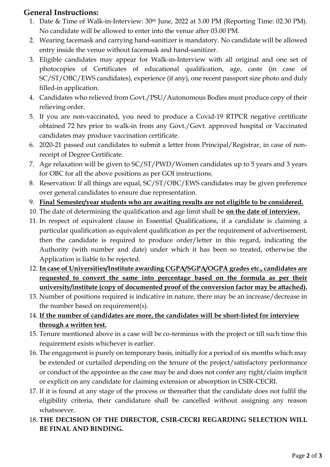## **General Instructions:**

- 1. Date & Time of Walk-in-Interview: 30th June, 2022 at 3.00 PM (Reporting Time: 02.30 PM). No candidate will be allowed to enter into the venue after 03.00 PM.
- 2. Wearing facemask and carrying hand-sanitizer is mandatory. No candidate will be allowed entry inside the venue without facemask and hand-sanitizer.
- 3. Eligible candidates may appear for Walk-in-Interview with all original and one set of photocopies of Certificates of educational qualification, age, caste (in case of SC/ST/OBC/EWS candidates), experience (if any), one recent passport size photo and duly filled-in application.
- 4. Candidates who relieved from Govt./PSU/Autonomous Bodies must produce copy of their relieving order.
- 5. If you are non-vaccinated, you need to produce a Covid-19 RTPCR negative certificate obtained 72 hrs prior to walk-in from any Govt./Govt. approved hospital or Vaccinated candidates may produce vaccination certificate.
- 6. 2020-21 passed out candidates to submit a letter from Principal/Registrar, in case of nonreceipt of Degree Certificate.
- 7. Age relaxation will be given to SC/ST/PWD/Women candidates up to 5 years and 3 years for OBC for all the above positions as per GOI instructions.
- 8. Reservation: If all things are equal, SC/ST/OBC/EWS candidates may be given preference over general candidates to ensure due representation.
- 9. **Final Semester/year students who are awaiting results are not eligible to be considered.**
- 10. The date of determining the qualification and age limit shall be **on the date of interview.**
- 11. In respect of equivalent clause in Essential Qualifications, if a candidate is claiming a particular qualification as equivalent qualification as per the requirement of advertisement, then the candidate is required to produce order/letter in this regard, indicating the Authority (with number and date) under which it has been so treated, otherwise the Application is liable to be rejected.
- 12. **In case of Universities/Institute awarding CGPA/SGPA/OGPA grades etc., candidates are requested to convert the same into percentage based on the formula as per their university/institute (copy of documented proof of the conversion factor may be attached).**
- 13. Number of positions required is indicative in nature, there may be an increase/decrease in the number based on requirement(s).
- 14. **If the number of candidates are more, the candidates will be short-listed for interview through a written test.**
- 15. Tenure mentioned above in a case will be co-terminus with the project or till such time this requirement exists whichever is earlier.
- 16. The engagement is purely on temporary basis, initially for a period of six months which may be extended or curtailed depending on the tenure of the project/satisfactory performance or conduct of the appointee as the case may be and does not confer any right/claim implicit or explicit on any candidate for claiming extension or absorption in CSIR-CECRI.
- 17. If it is found at any stage of the process or thereafter that the candidate does not fulfil the eligibility criteria, their candidature shall be cancelled without assigning any reason whatsoever.
- 18. **THE DECISION OF THE DIRECTOR, CSIR-CECRI REGARDING SELECTION WILL BE FINAL AND BINDING.**